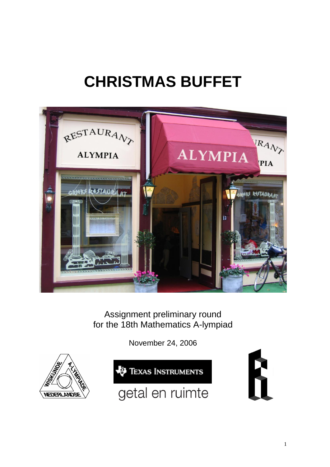# **CHRISTMAS BUFFET**



Assignment preliminary round for the 18th Mathematics A-lympiad

November 24, 2006





getal en ruimte

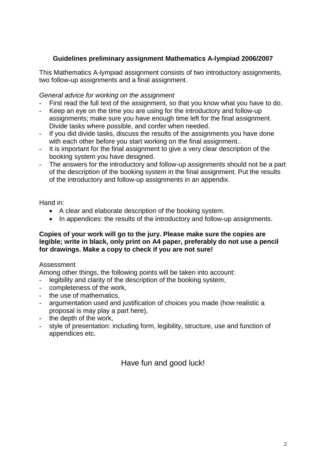#### **Guidelines preliminary assignment Mathematics A-lympiad 2006/2007**

This Mathematics A-lympiad assignment consists of two introductory assignments, two follow-up assignments and a final assignment.

#### *General advice for working on the assignment*

- First read the full text of the assignment, so that you know what you have to do.
- Keep an eye on the time you are using for the introductory and follow-up assignments; make sure you have enough time left for the final assignment. Divide tasks where possible, and confer when needed.
- If you did divide tasks, discuss the results of the assignments you have done with each other before you start working on the final assignment..
- It is important for the final assignment to give a very clear description of the booking system you have designed.
- The answers for the introductory and follow-up assignments should not be a part of the description of the booking system in the final assignment. Put the results of the introductory and follow-up assignments in an appendix.

Hand in:

- A clear and elaborate description of the booking system.
- In appendices: the results of the introductory and follow-up assignments.

#### **Copies of your work will go to the jury. Please make sure the copies are legible; write in black, only print on A4 paper, preferably do not use a pencil for drawings. Make a copy to check if you are not sure!**

#### Assessment

Among other things, the following points will be taken into account:

- legibility and clarity of the description of the booking system,
- completeness of the work,
- the use of mathematics.
- argumentation used and justification of choices you made (how realistic a proposal is may play a part here),
- the depth of the work,
- style of presentation: including form, legibility, structure, use and function of appendices etc.

Have fun and good luck!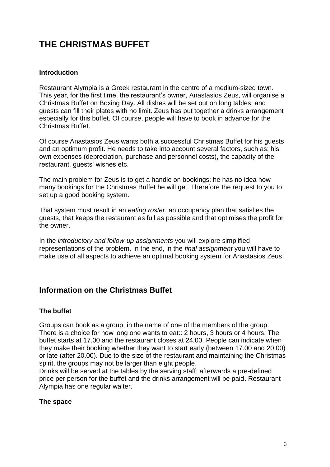## **THE CHRISTMAS BUFFET**

#### **Introduction**

Restaurant Alympia is a Greek restaurant in the centre of a medium-sized town. This year, for the first time, the restaurant's owner, Anastasios Zeus, will organise a Christmas Buffet on Boxing Day. All dishes will be set out on long tables, and guests can fill their plates with no limit. Zeus has put together a drinks arrangement especially for this buffet. Of course, people will have to book in advance for the Christmas Buffet.

Of course Anastasios Zeus wants both a successful Christmas Buffet for his guests and an optimum profit. He needs to take into account several factors, such as: his own expenses (depreciation, purchase and personnel costs), the capacity of the restaurant, guests' wishes etc.

The main problem for Zeus is to get a handle on bookings: he has no idea how many bookings for the Christmas Buffet he will get. Therefore the request to you to set up a good booking system.

That system must result in an *eating roster*, an occupancy plan that satisfies the guests, that keeps the restaurant as full as possible and that optimises the profit for the owner.

In the *introductory and follow-up assignments* you will explore simplified representations of the problem. In the end, in the *final assignment* you will have to make use of all aspects to achieve an optimal booking system for Anastasios Zeus.

## **Information on the Christmas Buffet**

#### **The buffet**

Groups can book as a group, in the name of one of the members of the group. There is a choice for how long one wants to eat:: 2 hours, 3 hours or 4 hours. The buffet starts at 17.00 and the restaurant closes at 24.00. People can indicate when they make their booking whether they want to start early (between 17.00 and 20.00) or late (after 20.00). Due to the size of the restaurant and maintaining the Christmas spirit, the groups may not be larger than eight people.

Drinks will be served at the tables by the serving staff; afterwards a pre-defined price per person for the buffet and the drinks arrangement will be paid. Restaurant Alympia has one regular waiter.

#### **The space**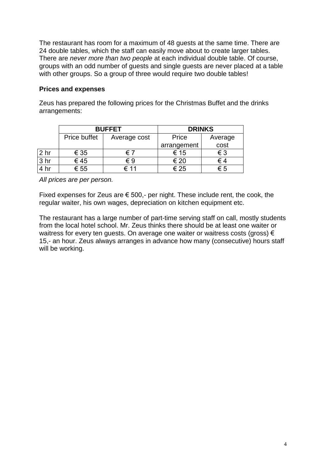The restaurant has room for a maximum of 48 guests at the same time. There are 24 double tables, which the staff can easily move about to create larger tables. There are *never more than two people* at each individual double table. Of course, groups with an odd number of guests and single guests are never placed at a table with other groups. So a group of three would require two double tables!

#### **Prices and expenses**

Zeus has prepared the following prices for the Christmas Buffet and the drinks arrangements:

|                 | <b>BUFFET</b>       |              | <b>DRINKS</b> |         |
|-----------------|---------------------|--------------|---------------|---------|
|                 | <b>Price buffet</b> | Average cost | Price         | Average |
|                 |                     |              | arrangement   | cost    |
| 2 <sub>hr</sub> | € 35                | € 7          | € 15          | € 3     |
| 3 <sub>hr</sub> | €45                 | €9           | € 20          | € 4     |
|                 | € 55                | € 11         | € 25          | ∈ 5     |

*All prices are per person.*

Fixed expenses for Zeus are  $\epsilon$  500,- per night. These include rent, the cook, the regular waiter, his own wages, depreciation on kitchen equipment etc.

The restaurant has a large number of part-time serving staff on call, mostly students from the local hotel school. Mr. Zeus thinks there should be at least one waiter or waitress for every ten guests. On average one waiter or waitress costs (gross) € 15,- an hour. Zeus always arranges in advance how many (consecutive) hours staff will be working.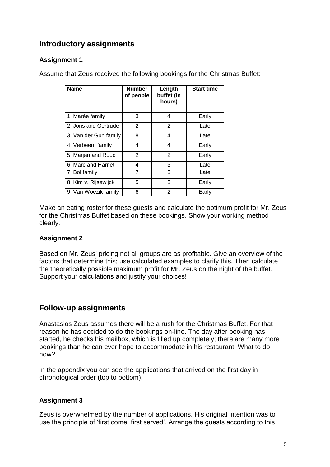## **Introductory assignments**

## **Assignment 1**

Assume that Zeus received the following bookings for the Christmas Buffet:

| <b>Name</b>           | <b>Number</b><br>of people | Length<br>buffet (in<br>hours) | <b>Start time</b> |
|-----------------------|----------------------------|--------------------------------|-------------------|
| 1. Marée family       | 3                          | 4                              | Early             |
| 2. Joris and Gertrude | 2                          | $\overline{2}$                 | Late              |
| 3. Van der Gun family | 8                          | 4                              | Late              |
| 4. Verbeem family     | 4                          | 4                              | Early             |
| 5. Marjan and Ruud    | 2                          | $\overline{2}$                 | Early             |
| 6. Marc and Harriët   | 4                          | 3                              | Late              |
| 7. Bol family         | 7                          | 3                              | Late              |
| 8. Kim v. Rijsewijck  | 5                          | 3                              | Early             |
| 9. Van Woezik family  | 6                          | 2                              | Early             |

Make an eating roster for these guests and calculate the optimum profit for Mr. Zeus for the Christmas Buffet based on these bookings. Show your working method clearly.

#### **Assignment 2**

Based on Mr. Zeus' pricing not all groups are as profitable. Give an overview of the factors that determine this; use calculated examples to clarify this. Then calculate the theoretically possible maximum profit for Mr. Zeus on the night of the buffet. Support your calculations and justify your choices!

## **Follow-up assignments**

Anastasios Zeus assumes there will be a rush for the Christmas Buffet. For that reason he has decided to do the bookings on-line. The day after booking has started, he checks his mailbox, which is filled up completely; there are many more bookings than he can ever hope to accommodate in his restaurant. What to do now?

In the appendix you can see the applications that arrived on the first day in chronological order (top to bottom).

#### **Assignment 3**

Zeus is overwhelmed by the number of applications. His original intention was to use the principle of 'first come, first served'. Arrange the guests according to this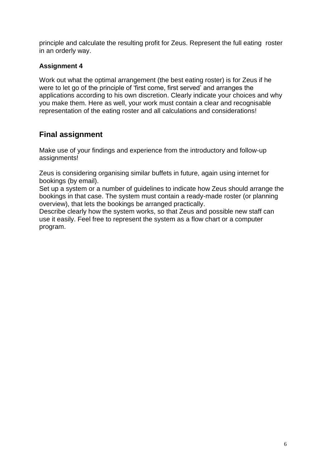principle and calculate the resulting profit for Zeus. Represent the full eating roster in an orderly way.

### **Assignment 4**

Work out what the optimal arrangement (the best eating roster) is for Zeus if he were to let go of the principle of 'first come, first served' and arranges the applications according to his own discretion. Clearly indicate your choices and why you make them. Here as well, your work must contain a clear and recognisable representation of the eating roster and all calculations and considerations!

## **Final assignment**

Make use of your findings and experience from the introductory and follow-up assignments!

Zeus is considering organising similar buffets in future, again using internet for bookings (by email).

Set up a system or a number of guidelines to indicate how Zeus should arrange the bookings in that case. The system must contain a ready-made roster (or planning overview), that lets the bookings be arranged practically.

Describe clearly how the system works, so that Zeus and possible new staff can use it easily. Feel free to represent the system as a flow chart or a computer program.